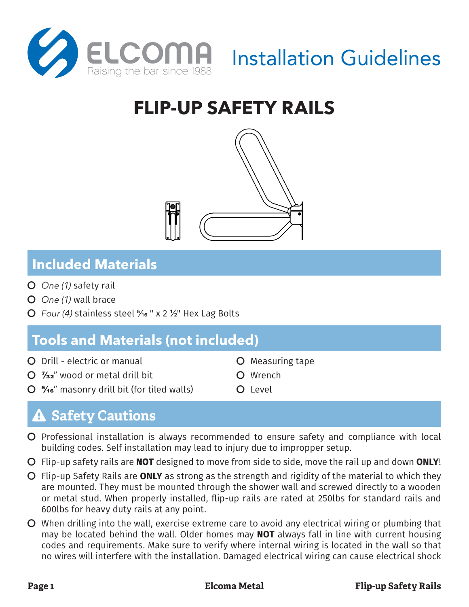

# **FLIP-UP SAFETY RAILS**



### **Included Materials**

- Č *One (1)* safety rail
- Č *One (1)* wall brace
- Č *Four (4)* stainless steel 5/16 " x 2 1/2" Hex Lag Bolts

## **Tools and Materials (not included)**

- Č Drill electric or manual
- $O$   $\frac{7}{32}$ " wood or metal drill bit
- $\overline{O}$  5/16" masonry drill bit (for tiled walls)
- **O** Measuring tape
- Č Wrench O Level

- **Safety Cautions**
- Č Professional installation is always recommended to ensure safety and compliance with local building codes. Self installation may lead to injury due to impropper setup.
- Č Flip-up safety rails are **NOT** designed to move from side to side, move the rail up and down **ONLY**!
- Č Flip-up Safety Rails are **ONLY** as strong as the strength and rigidity of the material to which they are mounted. They must be mounted through the shower wall and screwed directly to a wooden or metal stud. When properly installed, flip-up rails are rated at 250lbs for standard rails and 600lbs for heavy duty rails at any point.
- $\overline{O}$  When drilling into the wall, exercise extreme care to avoid any electrical wiring or plumbing that may be located behind the wall. Older homes may **NOT** always fall in line with current housing codes and requirements. Make sure to verify where internal wiring is located in the wall so that no wires will interfere with the installation. Damaged electrical wiring can cause electrical shock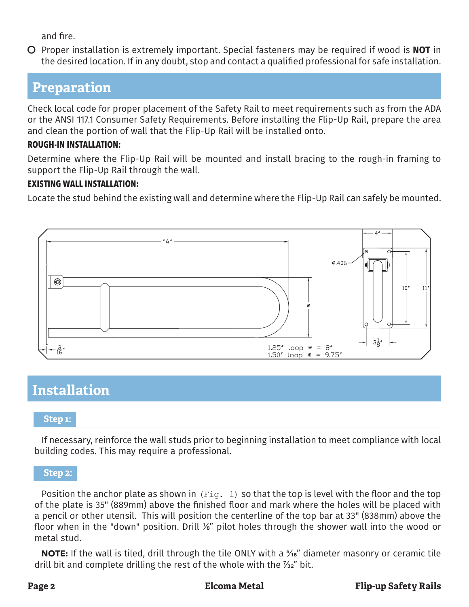and fire.

Č Proper installation is extremely important. Special fasteners may be required if wood is **NOT** in the desired location. If in any doubt, stop and contact a qualified professional for safe installation.

### **Preparation**

Check local code for proper placement of the Safety Rail to meet requirements such as from the ADA or the ANSI 117.1 Consumer Safety Requirements. Before installing the Flip-Up Rail, prepare the area and clean the portion of wall that the Flip-Up Rail will be installed onto.

### **ROUGH-IN INSTALLATION:**

Determine where the Flip-Up Rail will be mounted and install bracing to the rough-in framing to support the Flip-Up Rail through the wall.

### **EXISTING WALL INSTALLATION:**

Locate the stud behind the existing wall and determine where the Flip-Up Rail can safely be mounted.



## **Installation**

### **Step 1:**

If necessary, reinforce the wall studs prior to beginning installation to meet compliance with local building codes. This may require a professional.

**Step 2:**

Position the anchor plate as shown in (Fig. 1) so that the top is level with the floor and the top of the plate is 35" (889mm) above the finished floor and mark where the holes will be placed with a pencil or other utensil. This will position the centerline of the top bar at 33" (838mm) above the floor when in the "down" position. Drill 1/8" pilot holes through the shower wall into the wood or metal stud.

**NOTE:** If the wall is tiled, drill through the tile ONLY with a <sup>5</sup>%" diameter masonry or ceramic tile drill bit and complete drilling the rest of the whole with the  $\frac{7}{32}$ " bit.